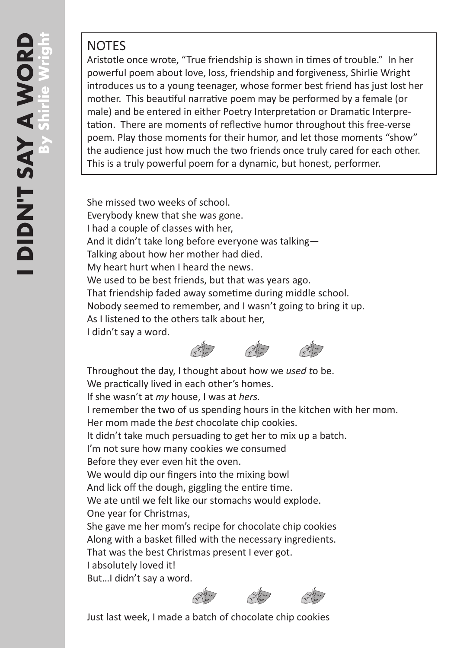## NOTES

Aristotle once wrote, "True friendship is shown in times of trouble." In her powerful poem about love, loss, friendship and forgiveness, Shirlie Wright introduces us to a young teenager, whose former best friend has just lost her mother. This beautiful narrative poem may be performed by a female (or male) and be entered in either Poetry Interpretation or Dramatic Interpre tation. There are moments of reflective humor throughout this free-verse poem. Play those moments for their humor, and let those moments "show" the audience just how much the two friends once truly cared for each other. This is a truly powerful poem for a dynamic, but honest, performer.

She missed two weeks of school. Everybody knew that she was gone. I had a couple of classes with her, And it didn't take long before everyone was talking— Talking about how her mother had died. My heart hurt when I heard the news. We used to be best friends, but that was years ago. That friendship faded away sometime during middle school. Nobody seemed to remember, and I wasn't going to bring it up. As I listened to the others talk about her, I didn't say a word.



Throughout the day, I thought about how we *used t*o be. We practically lived in each other's homes. If she wasn't at *my* house, I was at *hers.* I remember the two of us spending hours in the kitchen with her mom. Her mom made the *best* chocolate chip cookies. It didn't take much persuading to get her to mix up a batch. I'm not sure how many cookies we consumed Before they ever even hit the oven. We would dip our fingers into the mixing bowl And lick off the dough, giggling the entire time. We ate until we felt like our stomachs would explode. One year for Christmas, She gave me her mom's recipe for chocolate chip cookies Along with a basket filled with the necessary ingredients. That was the best Christmas present I ever got. I absolutely loved it! But…I didn't say a word.



Just last week, I made a batch of chocolate chip cookies